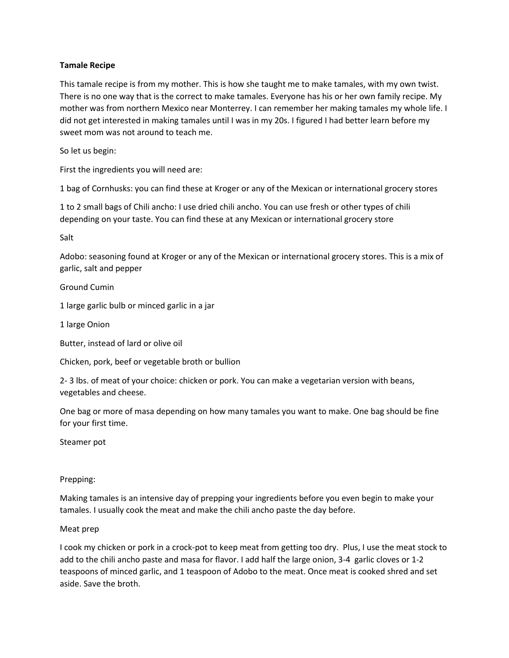# **Tamale Recipe**

This tamale recipe is from my mother. This is how she taught me to make tamales, with my own twist. There is no one way that is the correct to make tamales. Everyone has his or her own family recipe. My mother was from northern Mexico near Monterrey. I can remember her making tamales my whole life. I did not get interested in making tamales until I was in my 20s. I figured I had better learn before my sweet mom was not around to teach me.

So let us begin:

First the ingredients you will need are:

1 bag of Cornhusks: you can find these at Kroger or any of the Mexican or international grocery stores

1 to 2 small bags of Chili ancho: I use dried chili ancho. You can use fresh or other types of chili depending on your taste. You can find these at any Mexican or international grocery store

Salt

Adobo: seasoning found at Kroger or any of the Mexican or international grocery stores. This is a mix of garlic, salt and pepper

Ground Cumin

1 large garlic bulb or minced garlic in a jar

1 large Onion

Butter, instead of lard or olive oil

Chicken, pork, beef or vegetable broth or bullion

2- 3 lbs. of meat of your choice: chicken or pork. You can make a vegetarian version with beans, vegetables and cheese.

One bag or more of masa depending on how many tamales you want to make. One bag should be fine for your first time.

Steamer pot

# Prepping:

Making tamales is an intensive day of prepping your ingredients before you even begin to make your tamales. I usually cook the meat and make the chili ancho paste the day before.

# Meat prep

I cook my chicken or pork in a crock-pot to keep meat from getting too dry. Plus, I use the meat stock to add to the chili ancho paste and masa for flavor. I add half the large onion, 3-4 garlic cloves or 1-2 teaspoons of minced garlic, and 1 teaspoon of Adobo to the meat. Once meat is cooked shred and set aside. Save the broth.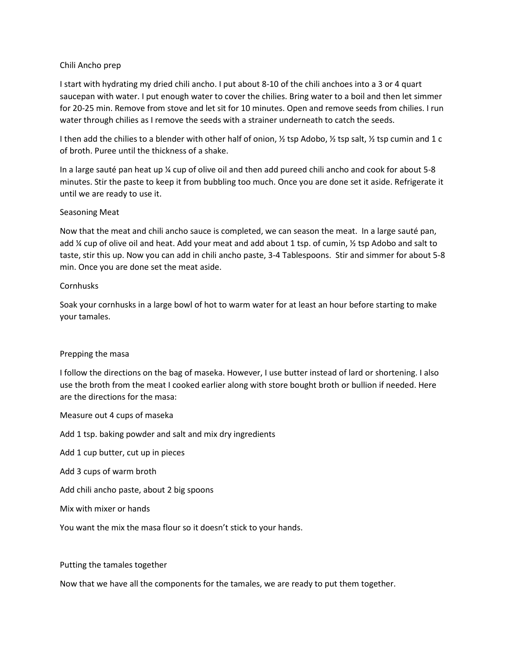## Chili Ancho prep

I start with hydrating my dried chili ancho. I put about 8-10 of the chili anchoes into a 3 or 4 quart saucepan with water. I put enough water to cover the chilies. Bring water to a boil and then let simmer for 20-25 min. Remove from stove and let sit for 10 minutes. Open and remove seeds from chilies. I run water through chilies as I remove the seeds with a strainer underneath to catch the seeds.

I then add the chilies to a blender with other half of onion,  $\frac{1}{2}$  tsp Adobo,  $\frac{1}{2}$  tsp salt,  $\frac{1}{2}$  tsp cumin and 1 c of broth. Puree until the thickness of a shake.

In a large sauté pan heat up ¼ cup of olive oil and then add pureed chili ancho and cook for about 5-8 minutes. Stir the paste to keep it from bubbling too much. Once you are done set it aside. Refrigerate it until we are ready to use it.

## Seasoning Meat

Now that the meat and chili ancho sauce is completed, we can season the meat. In a large sauté pan, add  $\frac{1}{2}$  cup of olive oil and heat. Add your meat and add about 1 tsp. of cumin,  $\frac{1}{2}$  tsp Adobo and salt to taste, stir this up. Now you can add in chili ancho paste, 3-4 Tablespoons. Stir and simmer for about 5-8 min. Once you are done set the meat aside.

## Cornhusks

Soak your cornhusks in a large bowl of hot to warm water for at least an hour before starting to make your tamales.

### Prepping the masa

I follow the directions on the bag of maseka. However, I use butter instead of lard or shortening. I also use the broth from the meat I cooked earlier along with store bought broth or bullion if needed. Here are the directions for the masa:

Measure out 4 cups of maseka

Add 1 tsp. baking powder and salt and mix dry ingredients

Add 1 cup butter, cut up in pieces

Add 3 cups of warm broth

Add chili ancho paste, about 2 big spoons

Mix with mixer or hands

You want the mix the masa flour so it doesn't stick to your hands.

Putting the tamales together

Now that we have all the components for the tamales, we are ready to put them together.